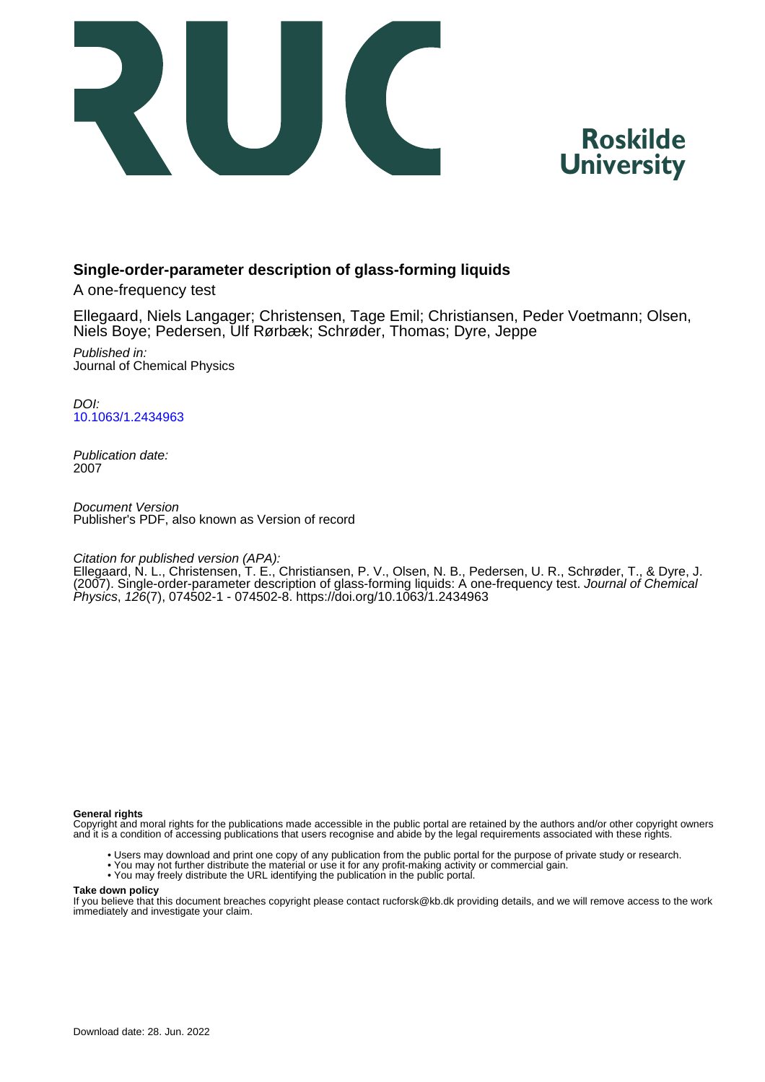



## **Single-order-parameter description of glass-forming liquids**

A one-frequency test

Ellegaard, Niels Langager; Christensen, Tage Emil; Christiansen, Peder Voetmann; Olsen, Niels Boye; Pedersen, Ulf Rørbæk; Schrøder, Thomas; Dyre, Jeppe

Published in: Journal of Chemical Physics

DOI: [10.1063/1.2434963](https://doi.org/10.1063/1.2434963)

Publication date: 2007

Document Version Publisher's PDF, also known as Version of record

Citation for published version (APA):

Ellegaard, N. L., Christensen, T. E., Christiansen, P. V., Olsen, N. B., Pedersen, U. R., Schrøder, T., & Dyre, J. (2007). Single-order-parameter description of glass-forming liquids: A one-frequency test. Journal of Chemical Physics, 126(7), 074502-1 - 074502-8.<https://doi.org/10.1063/1.2434963>

#### **General rights**

Copyright and moral rights for the publications made accessible in the public portal are retained by the authors and/or other copyright owners and it is a condition of accessing publications that users recognise and abide by the legal requirements associated with these rights.

- Users may download and print one copy of any publication from the public portal for the purpose of private study or research.
- You may not further distribute the material or use it for any profit-making activity or commercial gain.
- You may freely distribute the URL identifying the publication in the public portal.

#### **Take down policy**

If you believe that this document breaches copyright please contact rucforsk@kb.dk providing details, and we will remove access to the work immediately and investigate your claim.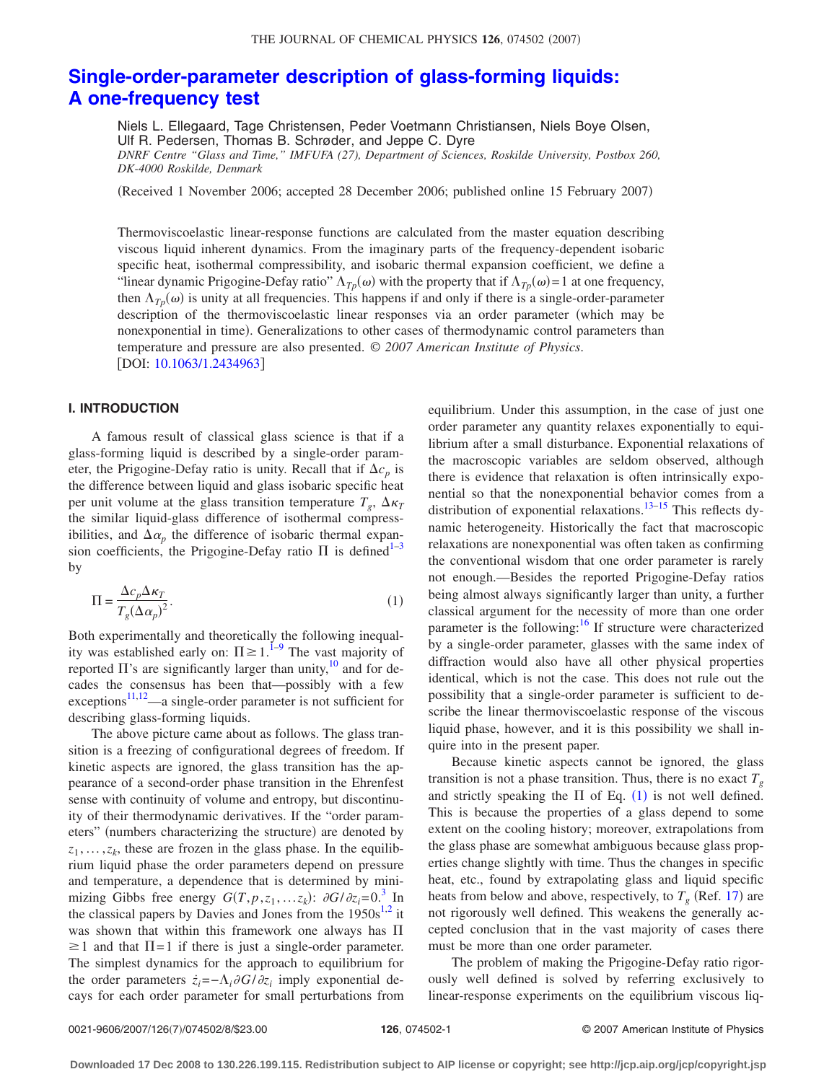# **[Single-order-parameter description of glass-forming liquids:](http://dx.doi.org/10.1063/1.2434963) [A one-frequency test](http://dx.doi.org/10.1063/1.2434963)**

Niels L. Ellegaard, Tage Christensen, Peder Voetmann Christiansen, Niels Boye Olsen, Ulf R. Pedersen, Thomas B. Schrøder, and Jeppe C. Dyre *DNRF Centre "Glass and Time," IMFUFA (27), Department of Sciences, Roskilde University, Postbox 260, DK-4000 Roskilde, Denmark*

(Received 1 November 2006; accepted 28 December 2006; published online 15 February 2007)

Thermoviscoelastic linear-response functions are calculated from the master equation describing viscous liquid inherent dynamics. From the imaginary parts of the frequency-dependent isobaric specific heat, isothermal compressibility, and isobaric thermal expansion coefficient, we define a "linear dynamic Prigogine-Defay ratio"  $\Lambda_{T_p}(\omega)$  with the property that if  $\Lambda_{T_p}(\omega) = 1$  at one frequency, then  $\Lambda_{T_p}(\omega)$  is unity at all frequencies. This happens if and only if there is a single-order-parameter description of the thermoviscoelastic linear responses via an order parameter (which may be nonexponential in time). Generalizations to other cases of thermodynamic control parameters than temperature and pressure are also presented. © *2007 American Institute of Physics*. [DOI: [10.1063/1.2434963](http://dx.doi.org/10.1063/1.2434963)]

## **I. INTRODUCTION**

A famous result of classical glass science is that if a glass-forming liquid is described by a single-order parameter, the Prigogine-Defay ratio is unity. Recall that if  $\Delta c_p$  is the difference between liquid and glass isobaric specific heat per unit volume at the glass transition temperature  $T_g$ ,  $\Delta \kappa_T$ the similar liquid-glass difference of isothermal compressibilities, and  $\Delta \alpha_n$  the difference of isobaric thermal expansion coefficients, the Prigogine-Defay ratio  $\Pi$  is defined<sup>1-[3](#page-8-1)</sup> by

<span id="page-1-0"></span>
$$
\Pi = \frac{\Delta c_p \Delta \kappa_T}{T_s (\Delta \alpha_p)^2}.
$$
\n(1)

Both experimentally and theoretically the following inequality was established early on:  $\Pi \geq 1$ .<sup>1–[9](#page-8-2)</sup> The vast majority of reported  $\Pi$ 's are significantly larger than unity,  $^{10}$  and for decades the consensus has been that—possibly with a few exceptions $11,12$ —a single-order parameter is not sufficient for describing glass-forming liquids.

The above picture came about as follows. The glass transition is a freezing of configurational degrees of freedom. If kinetic aspects are ignored, the glass transition has the appearance of a second-order phase transition in the Ehrenfest sense with continuity of volume and entropy, but discontinuity of their thermodynamic derivatives. If the "order parameters" (numbers characterizing the structure) are denoted by  $z_1, \ldots, z_k$ , these are frozen in the glass phase. In the equilibrium liquid phase the order parameters depend on pressure and temperature, a dependence that is determined by minimizing Gibbs free energy  $G(T, p, z_1, \ldots z_k)$ :  $\partial G/\partial z_i = 0$ .<sup>3</sup> In the classical papers by Davies and Jones from the  $1950s^{1,2}$  $1950s^{1,2}$  $1950s^{1,2}$  it was shown that within this framework one always has  $\Pi$  $\geq 1$  and that  $\Pi = 1$  if there is just a single-order parameter. The simplest dynamics for the approach to equilibrium for the order parameters  $\dot{z}_i = -\Lambda_i \partial G / \partial z_i$  imply exponential decays for each order parameter for small perturbations from equilibrium. Under this assumption, in the case of just one order parameter any quantity relaxes exponentially to equilibrium after a small disturbance. Exponential relaxations of the macroscopic variables are seldom observed, although there is evidence that relaxation is often intrinsically exponential so that the nonexponential behavior comes from a distribution of exponential relaxations.<sup>13–[15](#page-8-8)</sup> This reflects dynamic heterogeneity. Historically the fact that macroscopic relaxations are nonexponential was often taken as confirming the conventional wisdom that one order parameter is rarely not enough.—Besides the reported Prigogine-Defay ratios being almost always significantly larger than unity, a further classical argument for the necessity of more than one order parameter is the following: $16$  If structure were characterized by a single-order parameter, glasses with the same index of diffraction would also have all other physical properties identical, which is not the case. This does not rule out the possibility that a single-order parameter is sufficient to describe the linear thermoviscoelastic response of the viscous liquid phase, however, and it is this possibility we shall inquire into in the present paper.

Because kinetic aspects cannot be ignored, the glass transition is not a phase transition. Thus, there is no exact  $T_g$ and strictly speaking the  $\Pi$  of Eq. ([1](#page-1-0)) is not well defined. This is because the properties of a glass depend to some extent on the cooling history; moreover, extrapolations from the glass phase are somewhat ambiguous because glass properties change slightly with time. Thus the changes in specific heat, etc., found by extrapolating glass and liquid specific heats from below and above, respectively, to  $T<sub>g</sub>$  (Ref. [17](#page-8-10)) are not rigorously well defined. This weakens the generally accepted conclusion that in the vast majority of cases there must be more than one order parameter.

The problem of making the Prigogine-Defay ratio rigorously well defined is solved by referring exclusively to linear-response experiments on the equilibrium viscous liq-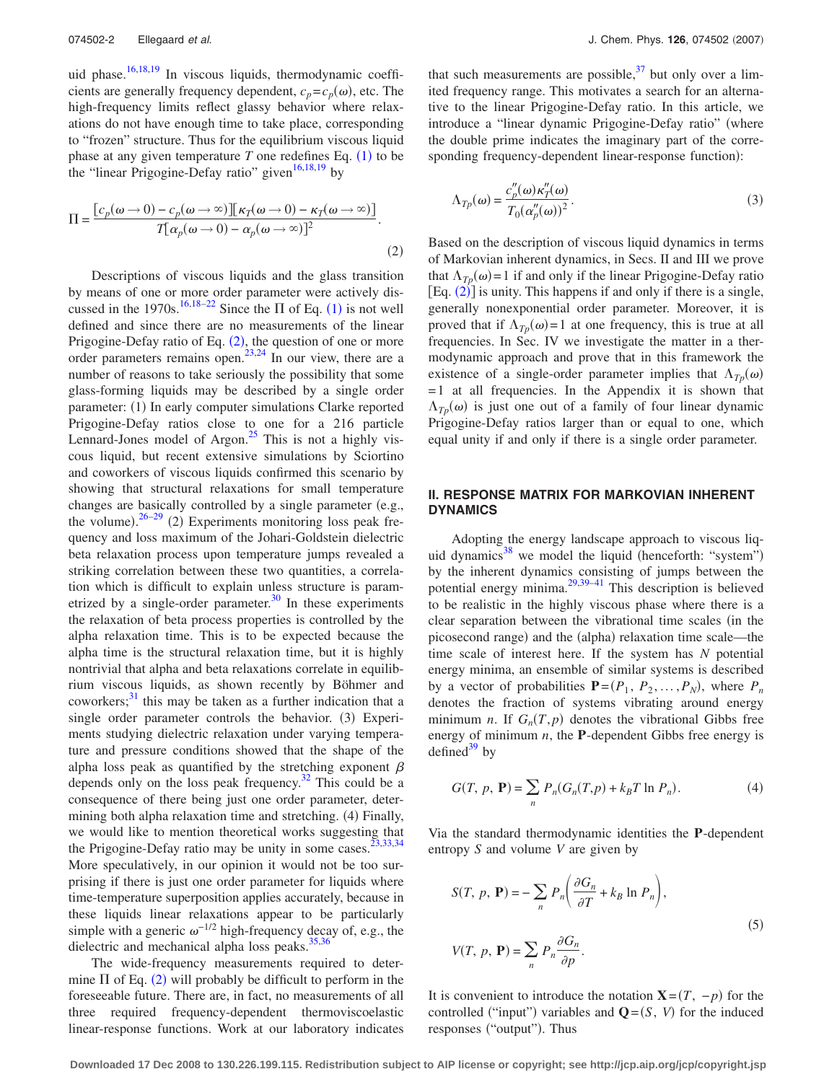uid phase. $16,18,19$  $16,18,19$  $16,18,19$  In viscous liquids, thermodynamic coefficients are generally frequency dependent,  $c_p = c_p(\omega)$ , etc. The high-frequency limits reflect glassy behavior where relaxations do not have enough time to take place, corresponding to "frozen" structure. Thus for the equilibrium viscous liquid phase at any given temperature  $T$  one redefines Eq.  $(1)$  $(1)$  $(1)$  to be the "linear Prigogine-Defay ratio" given  $16,18,19$  $16,18,19$  $16,18,19$  by

<span id="page-2-0"></span>
$$
\Pi = \frac{[c_p(\omega \to 0) - c_p(\omega \to \infty)][\kappa_T(\omega \to 0) - \kappa_T(\omega \to \infty)]}{T[\alpha_p(\omega \to 0) - \alpha_p(\omega \to \infty)]^2}.
$$
\n(2)

Descriptions of viscous liquids and the glass transition by means of one or more order parameter were actively dis-cussed in the [1](#page-1-0)970s.  $16,18-22$  $16,18-22$  $16,18-22$  Since the  $\Pi$  of Eq. (1) is not well defined and since there are no measurements of the linear Prigogine-Defay ratio of Eq.  $(2)$  $(2)$  $(2)$ , the question of one or more order parameters remains open.<sup>23,[24](#page-8-15)</sup> In our view, there are a number of reasons to take seriously the possibility that some glass-forming liquids may be described by a single order parameter: (1) In early computer simulations Clarke reported Prigogine-Defay ratios close to one for a 216 particle Lennard-Jones model of Argon.<sup>25</sup> This is not a highly viscous liquid, but recent extensive simulations by Sciortino and coworkers of viscous liquids confirmed this scenario by showing that structural relaxations for small temperature changes are basically controlled by a single parameter  $(e.g.,)$ the volume).  $26-29$  $26-29$  (2) Experiments monitoring loss peak frequency and loss maximum of the Johari-Goldstein dielectric beta relaxation process upon temperature jumps revealed a striking correlation between these two quantities, a correlation which is difficult to explain unless structure is parametrized by a single-order parameter.<sup>30</sup> In these experiments the relaxation of beta process properties is controlled by the alpha relaxation time. This is to be expected because the alpha time is the structural relaxation time, but it is highly nontrivial that alpha and beta relaxations correlate in equilibrium viscous liquids, as shown recently by Böhmer and coworkers; $3<sup>1</sup>$  this may be taken as a further indication that a single order parameter controls the behavior. (3) Experiments studying dielectric relaxation under varying temperature and pressure conditions showed that the shape of the alpha loss peak as quantified by the stretching exponent  $\beta$ depends only on the loss peak frequency.<sup>32</sup> This could be a consequence of there being just one order parameter, determining both alpha relaxation time and stretching. (4) Finally, we would like to mention theoretical works suggesting that the Prigogine-Defay ratio may be unity in some cases.<sup>2</sup> More speculatively, in our opinion it would not be too surprising if there is just one order parameter for liquids where time-temperature superposition applies accurately, because in these liquids linear relaxations appear to be particularly simple with a generic  $\omega^{-1/2}$  high-frequency decay of, e.g., the dielectric and mechanical alpha loss peaks. $35,36$  $35,36$ 

The wide-frequency measurements required to determine  $\Pi$  of Eq. ([2](#page-2-0)) will probably be difficult to perform in the foreseeable future. There are, in fact, no measurements of all three required frequency-dependent thermoviscoelastic linear-response functions. Work at our laboratory indicates that such measurements are possible,  $37$  but only over a limited frequency range. This motivates a search for an alternative to the linear Prigogine-Defay ratio. In this article, we introduce a "linear dynamic Prigogine-Defay ratio" (where the double prime indicates the imaginary part of the corresponding frequency-dependent linear-response function):

<span id="page-2-3"></span>
$$
\Lambda_{Tp}(\omega) = \frac{c_p''(\omega)\kappa_T''(\omega)}{T_0(\alpha_p''(\omega))^2}.
$$
\n(3)

Based on the description of viscous liquid dynamics in terms of Markovian inherent dynamics, in Secs. II and III we prove that  $\Lambda_{T_p}(\omega) = 1$  if and only if the linear Prigogine-Defay ratio  $[Eq. (2)]$  $[Eq. (2)]$  $[Eq. (2)]$  is unity. This happens if and only if there is a single, generally nonexponential order parameter. Moreover, it is proved that if  $\Lambda_{T_p}(\omega) = 1$  at one frequency, this is true at all frequencies. In Sec. IV we investigate the matter in a thermodynamic approach and prove that in this framework the existence of a single-order parameter implies that  $\Lambda_{T_p}(\omega)$  $= 1$  at all frequencies. In the Appendix it is shown that  $\Lambda_{T_p}(\omega)$  is just one out of a family of four linear dynamic Prigogine-Defay ratios larger than or equal to one, which equal unity if and only if there is a single order parameter.

## **II. RESPONSE MATRIX FOR MARKOVIAN INHERENT DYNAMICS**

Adopting the energy landscape approach to viscous liquid dynamics<sup>38</sup> we model the liquid (henceforth: "system") by the inherent dynamics consisting of jumps between the potential energy minima. $29,39-41$  $29,39-41$  $29,39-41$  This description is believed to be realistic in the highly viscous phase where there is a clear separation between the vibrational time scales (in the picosecond range) and the (alpha) relaxation time scale—the time scale of interest here. If the system has *N* potential energy minima, an ensemble of similar systems is described by a vector of probabilities  $P = (P_1, P_2, \dots, P_N)$ , where  $P_n$ denotes the fraction of systems vibrating around energy minimum *n*. If  $G_n(T, p)$  denotes the vibrational Gibbs free energy of minimum *n*, the **P**-dependent Gibbs free energy is defined $39$  by

<span id="page-2-1"></span>
$$
G(T, p, \mathbf{P}) = \sum_{n} P_n(G_n(T, p) + k_B T \ln P_n). \tag{4}
$$

Via the standard thermodynamic identities the **P**-dependent entropy *S* and volume *V* are given by

<span id="page-2-2"></span>
$$
S(T, p, \mathbf{P}) = -\sum_{n} P_{n} \left( \frac{\partial G_{n}}{\partial T} + k_{B} \ln P_{n} \right),
$$
  

$$
V(T, p, \mathbf{P}) = \sum_{n} P_{n} \frac{\partial G_{n}}{\partial p}.
$$
 (5)

It is convenient to introduce the notation  $X = (T, -p)$  for the controlled ("input") variables and  $Q = (S, V)$  for the induced responses ("output"). Thus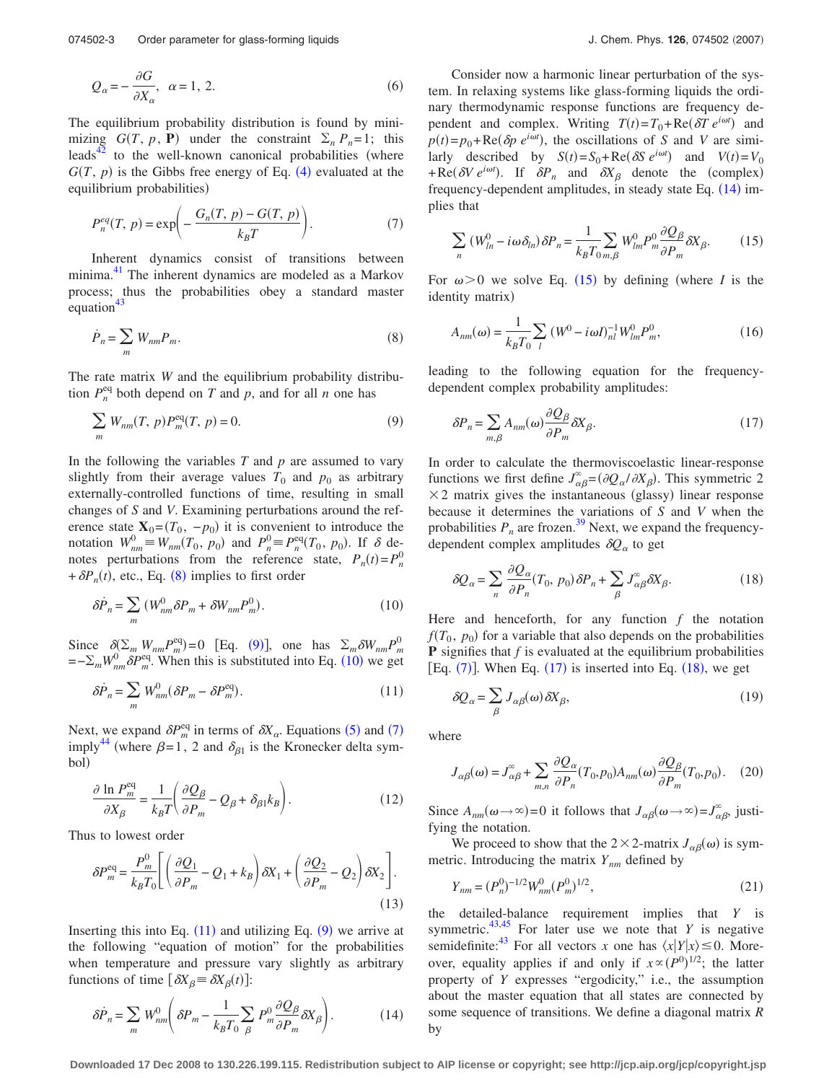$$
Q_{\alpha} = -\frac{\partial G}{\partial X_{\alpha}}, \ \alpha = 1, 2. \tag{6}
$$

The equilibrium probability distribution is found by minimizing  $G(T, p, \mathbf{P})$  under the constraint  $\Sigma_n P_n = 1$ ; this leads $42$  to the well-known canonical probabilities (where  $G(T, p)$  is the Gibbs free energy of Eq. ([4](#page-2-1)) evaluated at the equilibrium probabilities)

<span id="page-3-3"></span>
$$
P_n^{eq}(T, p) = \exp\left(-\frac{G_n(T, p) - G(T, p)}{k_B T}\right).
$$
 (7)

Inherent dynamics consist of transitions between minima.<sup>41</sup> The inherent dynamics are modeled as a Markov process; thus the probabilities obey a standard master equation $43$ 

<span id="page-3-0"></span>
$$
\dot{P}_n = \sum_m W_{nm} P_m. \tag{8}
$$

The rate matrix *W* and the equilibrium probability distribution  $P_n^{\text{eq}}$  both depend on *T* and *p*, and for all *n* one has

<span id="page-3-1"></span>
$$
\sum_{m} W_{nm}(T, p) P_{m}^{\text{eq}}(T, p) = 0.
$$
 (9)

In the following the variables  $T$  and  $p$  are assumed to vary slightly from their average values  $T_0$  and  $p_0$  as arbitrary externally-controlled functions of time, resulting in small changes of *S* and *V*. Examining perturbations around the reference state  $X_0 = (T_0, -p_0)$  it is convenient to introduce the notation  $W_{nm}^0 \equiv W_{nm}(T_0, p_0)$  and  $P_n^0 \equiv P_n^{\text{eq}}(T_0, p_0)$ . If  $\delta$  denotes perturbations from the reference state,  $P_n(t) = P_n^0$  $+\delta P_n(t)$ , etc., Eq. ([8](#page-3-0)) implies to first order

<span id="page-3-2"></span>
$$
\delta \dot{P}_n = \sum_m \left( W_{nm}^0 \delta P_m + \delta W_{nm} P_m^0 \right). \tag{10}
$$

Since  $\delta(\Sigma_m W_{nm} P_m^{\text{eq}}) = 0$  [Eq. ([9](#page-3-1))], one has  $\Sigma_m \delta W_{nm} P_m^0$  $=-\sum_m W_{nm}^0 \delta P_m^{\text{eq}}$ . When this is substituted into Eq. ([10](#page-3-2)) we get

<span id="page-3-4"></span>
$$
\delta \dot{P}_n = \sum_m W_{nm}^0 (\delta P_m - \delta P_m^{\text{eq}}). \tag{11}
$$

Next, we expand  $\delta P_m^{\text{eq}}$  in terms of  $\delta X_\alpha$ . Equations ([5](#page-2-2)) and ([7](#page-3-3)) imply<sup>44</sup> (where  $\beta = 1$ , 2 and  $\delta_{\beta 1}$  is the Kronecker delta sym $hol$ 

$$
\frac{\partial \ln P_m^{\text{eq}}}{\partial X_\beta} = \frac{1}{k_B T} \left( \frac{\partial Q_\beta}{\partial P_m} - Q_\beta + \delta_{\beta 1} k_B \right). \tag{12}
$$

Thus to lowest order

$$
\delta P_m^{\text{eq}} = \frac{P_m^0}{k_B T_0} \left[ \left( \frac{\partial Q_1}{\partial P_m} - Q_1 + k_B \right) \delta X_1 + \left( \frac{\partial Q_2}{\partial P_m} - Q_2 \right) \delta X_2 \right].
$$
\n(13)

Inserting this into Eq.  $(11)$  $(11)$  $(11)$  and utilizing Eq.  $(9)$  $(9)$  $(9)$  we arrive at the following "equation of motion" for the probabilities when temperature and pressure vary slightly as arbitrary functions of time  $[\delta X_\beta = \delta X_\beta(t)]$ :

<span id="page-3-5"></span>
$$
\delta \dot{P}_n = \sum_m W_{nm}^0 \left( \delta P_m - \frac{1}{k_B T_0} \sum_{\beta} P_m^0 \frac{\partial Q_{\beta}}{\partial P_m} \delta X_{\beta} \right). \tag{14}
$$

Consider now a harmonic linear perturbation of the system. In relaxing systems like glass-forming liquids the ordinary thermodynamic response functions are frequency dependent and complex. Writing  $T(t) = T_0 + \text{Re}(\delta T e^{i\omega t})$  and  $p(t) = p_0 + \text{Re}(\delta p \ e^{i\omega t})$ , the oscillations of *S* and *V* are similarly described by  $S(t) = S_0 + \text{Re}(\delta S \ e^{i\omega t})$  and  $V(t) = V_0$ +Re( $\delta V e^{i\omega t}$ ). If  $\delta P_n$  and  $\delta X_\beta$  denote the (complex) frequency-dependent amplitudes, in steady state Eq. ([14](#page-3-5)) implies that

<span id="page-3-6"></span>
$$
\sum_{n} \left( W_{ln}^{0} - i\omega \delta_{ln} \right) \delta P_{n} = \frac{1}{k_{B}T_{0}} \sum_{m,\beta} W_{lm}^{0} P_{m}^{0} \frac{\partial Q_{\beta}}{\partial P_{m}} \delta X_{\beta}.
$$
 (15)

For  $\omega > 0$  we solve Eq. ([15](#page-3-6)) by defining (where *I* is the identity matrix)

$$
A_{nm}(\omega) = \frac{1}{k_B T_0} \sum_{l} (W^0 - i\omega l)_{nl}^{-1} W_{lm}^0 P_m^0,
$$
 (16)

leading to the following equation for the frequencydependent complex probability amplitudes:

<span id="page-3-7"></span>
$$
\delta P_n = \sum_{m,\beta} A_{nm}(\omega) \frac{\partial Q_\beta}{\partial P_m} \delta X_\beta.
$$
 (17)

In order to calculate the thermoviscoelastic linear-response functions we first define  $J^{\infty}_{\alpha\beta} = (\partial Q_{\alpha}/\partial X_{\beta})$ . This symmetric 2  $\times$  2 matrix gives the instantaneous (glassy) linear response because it determines the variations of *S* and *V* when the probabilities  $P_n$  are frozen.<sup>39</sup> Next, we expand the frequencydependent complex amplitudes  $\delta Q_{\alpha}$  to get

<span id="page-3-8"></span>
$$
\delta Q_{\alpha} = \sum_{n} \frac{\partial Q_{\alpha}}{\partial P_{n}} (T_0, p_0) \delta P_{n} + \sum_{\beta} J_{\alpha\beta}^{\infty} \delta X_{\beta}.
$$
 (18)

Here and henceforth, for any function *f* the notation  $f(T_0, p_0)$  for a variable that also depends on the probabilities **P** signifies that  $f$  is evaluated at the equilibrium probabilities [Eq.  $(7)$  $(7)$  $(7)$ ]. When Eq.  $(17)$  $(17)$  $(17)$  is inserted into Eq.  $(18)$  $(18)$  $(18)$ , we get

$$
\delta Q_{\alpha} = \sum_{\beta} J_{\alpha\beta}(\omega) \, \delta X_{\beta},\tag{19}
$$

<span id="page-3-9"></span>where

$$
J_{\alpha\beta}(\omega) = J_{\alpha\beta}^{\infty} + \sum_{m,n} \frac{\partial Q_{\alpha}}{\partial P_n} (T_0, p_0) A_{nm}(\omega) \frac{\partial Q_{\beta}}{\partial P_m} (T_0, p_0). \quad (20)
$$

Since  $A_{nm}(\omega \to \infty) = 0$  it follows that  $J_{\alpha\beta}(\omega \to \infty) = J_{\alpha\beta}^{\infty}$ , justifying the notation.

We proceed to show that the  $2 \times 2$ -matrix  $J_{\alpha\beta}(\omega)$  is symmetric. Introducing the matrix *Ynm* defined by

$$
Y_{nm} = (P_n^0)^{-1/2} W_{nm}^0 (P_m^0)^{1/2},\tag{21}
$$

the detailed-balance requirement implies that *Y* is symmetric.<sup>43,[45](#page-8-33)</sup> For later use we note that  $Y$  is negative semidefinite:<sup>43</sup> For all vectors *x* one has  $\langle x | Y | x \rangle \le 0$ . Moreover, equality applies if and only if  $x \propto (P^0)^{1/2}$ ; the latter property of *Y* expresses "ergodicity," i.e., the assumption about the master equation that all states are connected by some sequence of transitions. We define a diagonal matrix *R* by

**Downloaded 17 Dec 2008 to 130.226.199.115. Redistribution subject to AIP license or copyright; see http://jcp.aip.org/jcp/copyright.jsp**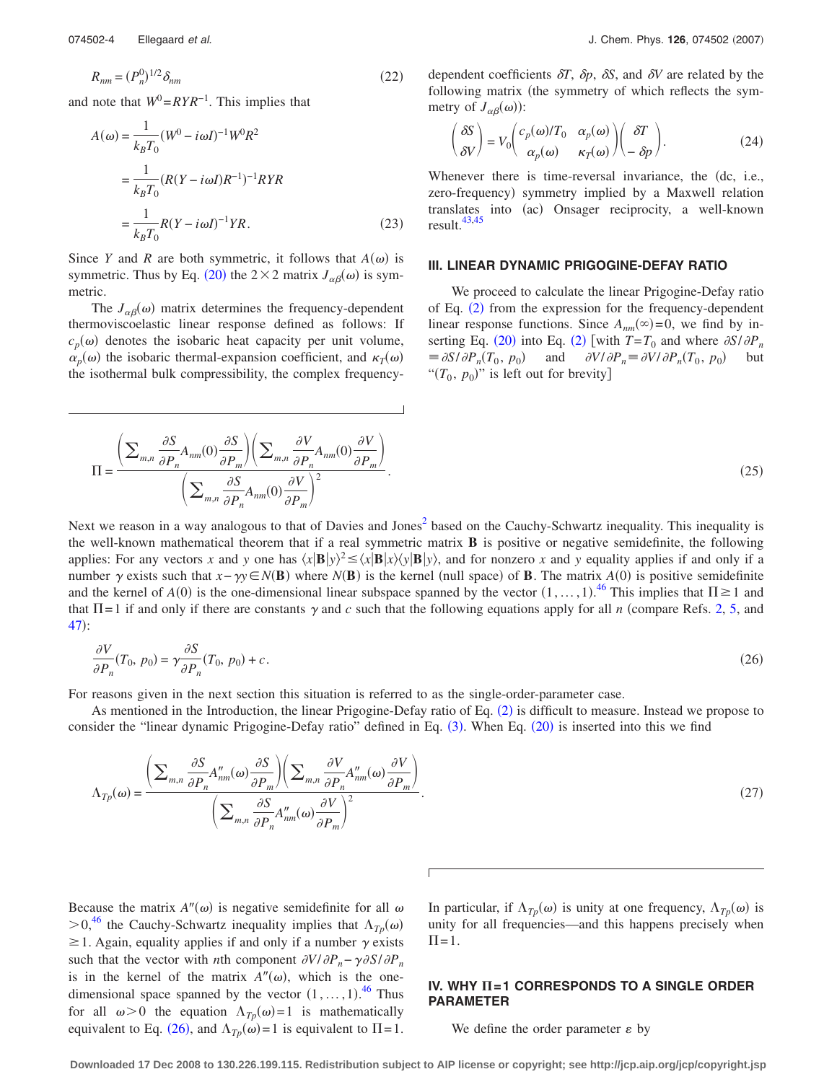$$
R_{nm} = (P_n^0)^{1/2} \delta_{nm} \tag{22}
$$

<span id="page-4-2"></span>and note that  $W^0 = RYR^{-1}$ . This implies that

$$
A(\omega) = \frac{1}{k_B T_0} (W^0 - i\omega I)^{-1} W^0 R^2
$$
  
= 
$$
\frac{1}{k_B T_0} (R(Y - i\omega I)R^{-1})^{-1} RYR
$$
  
= 
$$
\frac{1}{k_B T_0} R(Y - i\omega I)^{-1} YR.
$$
 (23)

Since *Y* and *R* are both symmetric, it follows that  $A(\omega)$  is symmetric. Thus by Eq. ([20](#page-3-9)) the  $2 \times 2$  matrix  $J_{\alpha\beta}(\omega)$  is symmetric.

The  $J_{\alpha\beta}(\omega)$  matrix determines the frequency-dependent thermoviscoelastic linear response defined as follows: If  $c_p(\omega)$  denotes the isobaric heat capacity per unit volume,  $\alpha_p(\omega)$  the isobaric thermal-expansion coefficient, and  $\kappa_T(\omega)$ the isothermal bulk compressibility, the complex frequency-

dependent coefficients  $\delta T$ ,  $\delta p$ ,  $\delta S$ , and  $\delta V$  are related by the following matrix (the symmetry of which reflects the symmetry of  $J_{\alpha\beta}(\omega)$ :

<span id="page-4-1"></span>
$$
\begin{pmatrix} \delta S \\ \delta V \end{pmatrix} = V_0 \begin{pmatrix} c_p(\omega)/T_0 & \alpha_p(\omega) \\ \alpha_p(\omega) & \kappa_T(\omega) \end{pmatrix} \begin{pmatrix} \delta T \\ -\delta p \end{pmatrix}.
$$
 (24)

Whenever there is time-reversal invariance, the (dc, i.e., zero-frequency) symmetry implied by a Maxwell relation translates into (ac) Onsager reciprocity, a well-known result.<sup>[43](#page-8-31)[,45](#page-8-33)</sup>

## **III. LINEAR DYNAMIC PRIGOGINE-DEFAY RATIO**

We proceed to calculate the linear Prigogine-Defay ratio of Eq.  $(2)$  $(2)$  $(2)$  from the expression for the frequency-dependent linear response functions. Since  $A_{nm}(\infty)=0$ , we find by in-serting Eq. ([20](#page-3-9)) into Eq. ([2](#page-2-0)) [with  $T = T_0$  and where  $\partial S/\partial P_n$  $\equiv \frac{\partial S}{\partial P_n(T_0, p_0)}$  and  $\frac{\partial V}{\partial P_n} \equiv \frac{\partial V}{\partial P_n(T_0, p_0)}$  but " $(T_0, p_0)$ " is left out for brevity]

$$
\Pi = \frac{\left(\sum_{m,n} \frac{\partial S}{\partial P_n} A_{nm}(0) \frac{\partial S}{\partial P_m}\right)\left(\sum_{m,n} \frac{\partial V}{\partial P_n} A_{nm}(0) \frac{\partial V}{\partial P_m}\right)}{\left(\sum_{m,n} \frac{\partial S}{\partial P_n} A_{nm}(0) \frac{\partial V}{\partial P_m}\right)^2}.
$$
\n(25)

Next we reason in a way analogous to that of Davies and Jones<sup>2</sup> based on the Cauchy-Schwartz inequality. This inequality is the well-known mathematical theorem that if a real symmetric matrix **B** is positive or negative semidefinite, the following applies: For any vectors x and y one has  $\langle x|B|y\rangle^2 \le \langle x|B|x\rangle\langle y|B|y\rangle$ , and for nonzero x and y equality applies if and only if a number  $\gamma$  exists such that  $x - \gamma y \in N(B)$  where  $N(B)$  is the kernel (null space) of **B**. The matrix  $A(0)$  is positive semidefinite and the kernel of  $A(0)$  is the one-dimensional linear subspace spanned by the vector  $(1,\ldots,1)$ .<sup>[46](#page-8-34)</sup> This implies that  $\Pi \ge 1$  and that  $\Pi = 1$  if and only if there are constants  $\gamma$  and  $c$  such that the following equations apply for all  $n$  (compare Refs. [2,](#page-8-6) [5,](#page-8-35) and  $47):$  $47):$ 

<span id="page-4-0"></span>
$$
\frac{\partial V}{\partial P_n}(T_0, p_0) = \gamma \frac{\partial S}{\partial P_n}(T_0, p_0) + c. \tag{26}
$$

For reasons given in the next section this situation is referred to as the single-order-parameter case.

As mentioned in the Introduction, the linear Prigogine-Defay ratio of Eq. ([2](#page-2-0)) is difficult to measure. Instead we propose to consider the "linear dynamic Prigogine-Defay ratio" defined in Eq. ([3](#page-2-3)). When Eq. ([20](#page-3-9)) is inserted into this we find

$$
\Lambda_{Tp}(\omega) = \frac{\left(\sum_{m,n} \frac{\partial S}{\partial P_n} A''_{nm}(\omega) \frac{\partial S}{\partial P_m}\right)\left(\sum_{m,n} \frac{\partial V}{\partial P_n} A''_{nm}(\omega) \frac{\partial V}{\partial P_m}\right)}{\left(\sum_{m,n} \frac{\partial S}{\partial P_n} A''_{nm}(\omega) \frac{\partial V}{\partial P_m}\right)^2}.
$$
\n(27)

Because the matrix  $A''(\omega)$  is negative semidefinite for all  $\omega$  $> 0$ <sup>46</sup>, the Cauchy-Schwartz inequality implies that  $\Lambda_{T_p}(\omega)$  $\geq$  1. Again, equality applies if and only if a number  $\gamma$  exists such that the vector with *n*th component  $\partial V/\partial P_n - \gamma \partial S/\partial P_n$ is in the kernel of the matrix  $A''(\omega)$ , which is the onedimensional space spanned by the vector  $(1, \ldots, 1)$ .<sup>[46](#page-8-34)</sup> Thus for all  $\omega > 0$  the equation  $\Lambda_{T_p}(\omega) = 1$  is mathematically equivalent to Eq. ([26](#page-4-0)), and  $\Lambda_{Tp}(\omega) = 1$  is equivalent to  $\Pi = 1$ .

In particular, if  $\Lambda_{T_p}(\omega)$  is unity at one frequency,  $\Lambda_{T_p}(\omega)$  is unity for all frequencies—and this happens precisely when  $\Pi=1$ .

## IV. WHY  $\Pi$ =1 CORRESPONDS TO A SINGLE ORDER **PARAMETER**

We define the order parameter  $\varepsilon$  by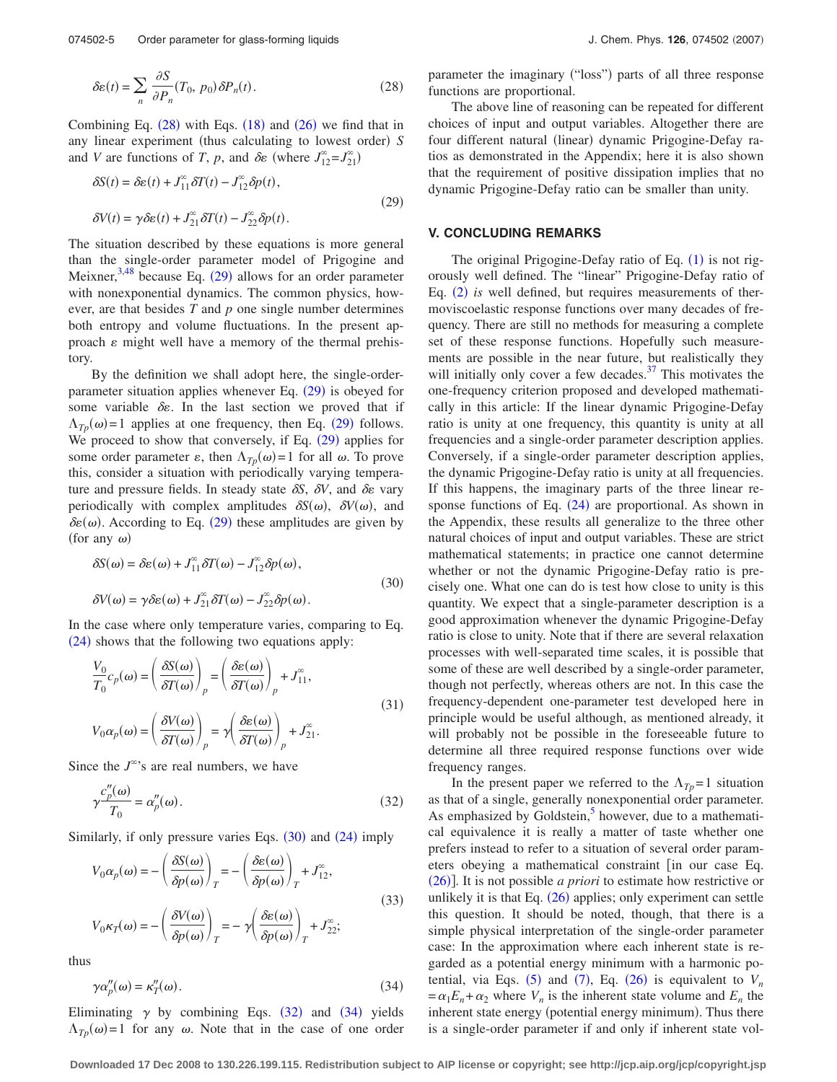<span id="page-5-0"></span>
$$
\delta \varepsilon(t) = \sum_{n} \frac{\partial S}{\partial P_n} (T_0, \, p_0) \, \delta P_n(t). \tag{28}
$$

Combining Eq.  $(28)$  $(28)$  $(28)$  with Eqs.  $(18)$  $(18)$  $(18)$  and  $(26)$  $(26)$  $(26)$  we find that in any linear experiment (thus calculating to lowest order) S and *V* are functions of *T*, *p*, and  $\delta \epsilon$  (where  $J_{12}^{\infty} = J_{21}^{\infty}$ )

<span id="page-5-1"></span>
$$
\delta S(t) = \delta \varepsilon(t) + J_{11}^{\infty} \delta T(t) - J_{12}^{\infty} \delta p(t),
$$
  
\n
$$
\delta V(t) = \gamma \delta \varepsilon(t) + J_{21}^{\infty} \delta T(t) - J_{22}^{\infty} \delta p(t).
$$
\n(29)

The situation described by these equations is more general than the single-order parameter model of Prigogine and Meixner,  $3,48$  $3,48$  because Eq. ([29](#page-5-1)) allows for an order parameter with nonexponential dynamics. The common physics, however, are that besides *T* and *p* one single number determines both entropy and volume fluctuations. In the present approach  $\varepsilon$  might well have a memory of the thermal prehistory.

By the definition we shall adopt here, the single-order-parameter situation applies whenever Eq. ([29](#page-5-1)) is obeyed for some variable  $\delta \varepsilon$ . In the last section we proved that if  $\Lambda_{T_p}(\omega)$  = 1 applies at one frequency, then Eq. ([29](#page-5-1)) follows. We proceed to show that conversely, if Eq. ([29](#page-5-1)) applies for some order parameter  $\varepsilon$ , then  $\Lambda_{T_p}(\omega) = 1$  for all  $\omega$ . To prove this, consider a situation with periodically varying temperature and pressure fields. In steady state  $\delta S$ ,  $\delta V$ , and  $\delta \epsilon$  vary periodically with complex amplitudes  $\delta S(\omega)$ ,  $\delta V(\omega)$ , and  $\delta \varepsilon(\omega)$ . According to Eq. ([29](#page-5-1)) these amplitudes are given by (for any  $\omega$ )

<span id="page-5-2"></span>
$$
\delta S(\omega) = \delta \varepsilon(\omega) + J_{11}^{\infty} \delta T(\omega) - J_{12}^{\infty} \delta p(\omega),
$$
  
\n
$$
\delta V(\omega) = \gamma \delta \varepsilon(\omega) + J_{21}^{\infty} \delta T(\omega) - J_{22}^{\infty} \delta p(\omega).
$$
\n(30)

In the case where only temperature varies, comparing to Eq. ([24](#page-4-1)) shows that the following two equations apply:

$$
\frac{V_0}{T_0}c_p(\omega) = \left(\frac{\delta S(\omega)}{\delta T(\omega)}\right)_p = \left(\frac{\delta \varepsilon(\omega)}{\delta T(\omega)}\right)_p + J_{11}^{\infty},
$$
\n
$$
V_0 \alpha_p(\omega) = \left(\frac{\delta V(\omega)}{\delta T(\omega)}\right)_p = \gamma \left(\frac{\delta \varepsilon(\omega)}{\delta T(\omega)}\right)_p + J_{21}^{\infty}.
$$
\n(31)

<span id="page-5-3"></span>Since the  $J^{\infty}$ 's are real numbers, we have

$$
\gamma \frac{c_p''(\omega)}{T_0} = \alpha_p''(\omega). \tag{32}
$$

Similarly, if only pressure varies Eqs. ([30](#page-5-2)) and ([24](#page-4-1)) imply

$$
V_0 \alpha_p(\omega) = -\left(\frac{\delta S(\omega)}{\delta p(\omega)}\right)_T = -\left(\frac{\delta \varepsilon(\omega)}{\delta p(\omega)}\right)_T + J_{12}^{\infty},
$$
  

$$
V_0 \kappa_T(\omega) = -\left(\frac{\delta V(\omega)}{\delta p(\omega)}\right)_T = -\gamma \left(\frac{\delta \varepsilon(\omega)}{\delta p(\omega)}\right)_T + J_{22}^{\infty};
$$
\n(33)

<span id="page-5-4"></span>thus

$$
\gamma \alpha_p''(\omega) = \kappa_T''(\omega). \tag{34}
$$

Eliminating  $\gamma$  by combining Eqs. ([32](#page-5-3)) and ([34](#page-5-4)) yields  $\Lambda_{T_p}(\omega) = 1$  for any  $\omega$ . Note that in the case of one order

parameter the imaginary ("loss") parts of all three response functions are proportional.

The above line of reasoning can be repeated for different choices of input and output variables. Altogether there are four different natural (linear) dynamic Prigogine-Defay ratios as demonstrated in the Appendix; here it is also shown that the requirement of positive dissipation implies that no dynamic Prigogine-Defay ratio can be smaller than unity.

## **V. CONCLUDING REMARKS**

The original Prigogine-Defay ratio of Eq.  $(1)$  $(1)$  $(1)$  is not rigorously well defined. The "linear" Prigogine-Defay ratio of Eq. ([2](#page-2-0)) is well defined, but requires measurements of thermoviscoelastic response functions over many decades of frequency. There are still no methods for measuring a complete set of these response functions. Hopefully such measurements are possible in the near future, but realistically they will initially only cover a few decades. $37$  This motivates the one-frequency criterion proposed and developed mathematically in this article: If the linear dynamic Prigogine-Defay ratio is unity at one frequency, this quantity is unity at all frequencies and a single-order parameter description applies. Conversely, if a single-order parameter description applies, the dynamic Prigogine-Defay ratio is unity at all frequencies. If this happens, the imaginary parts of the three linear response functions of Eq.  $(24)$  $(24)$  $(24)$  are proportional. As shown in the Appendix, these results all generalize to the three other natural choices of input and output variables. These are strict mathematical statements; in practice one cannot determine whether or not the dynamic Prigogine-Defay ratio is precisely one. What one can do is test how close to unity is this quantity. We expect that a single-parameter description is a good approximation whenever the dynamic Prigogine-Defay ratio is close to unity. Note that if there are several relaxation processes with well-separated time scales, it is possible that some of these are well described by a single-order parameter, though not perfectly, whereas others are not. In this case the frequency-dependent one-parameter test developed here in principle would be useful although, as mentioned already, it will probably not be possible in the foreseeable future to determine all three required response functions over wide frequency ranges.

In the present paper we referred to the  $\Lambda_{T_p} = 1$  situation as that of a single, generally nonexponential order parameter. As emphasized by Goldstein,<sup>5</sup> however, due to a mathematical equivalence it is really a matter of taste whether one prefers instead to refer to a situation of several order parameters obeying a mathematical constraint in our case Eq. ([26](#page-4-0))]. It is not possible *a priori* to estimate how restrictive or unlikely it is that Eq.  $(26)$  $(26)$  $(26)$  applies; only experiment can settle this question. It should be noted, though, that there is a simple physical interpretation of the single-order parameter case: In the approximation where each inherent state is regarded as a potential energy minimum with a harmonic potential, via Eqs.  $(5)$  $(5)$  $(5)$  and  $(7)$  $(7)$  $(7)$ , Eq.  $(26)$  $(26)$  $(26)$  is equivalent to  $V_n$  $=\alpha_1 E_n + \alpha_2$  where  $V_n$  is the inherent state volume and  $E_n$  the inherent state energy (potential energy minimum). Thus there is a single-order parameter if and only if inherent state vol-

**Downloaded 17 Dec 2008 to 130.226.199.115. Redistribution subject to AIP license or copyright; see http://jcp.aip.org/jcp/copyright.jsp**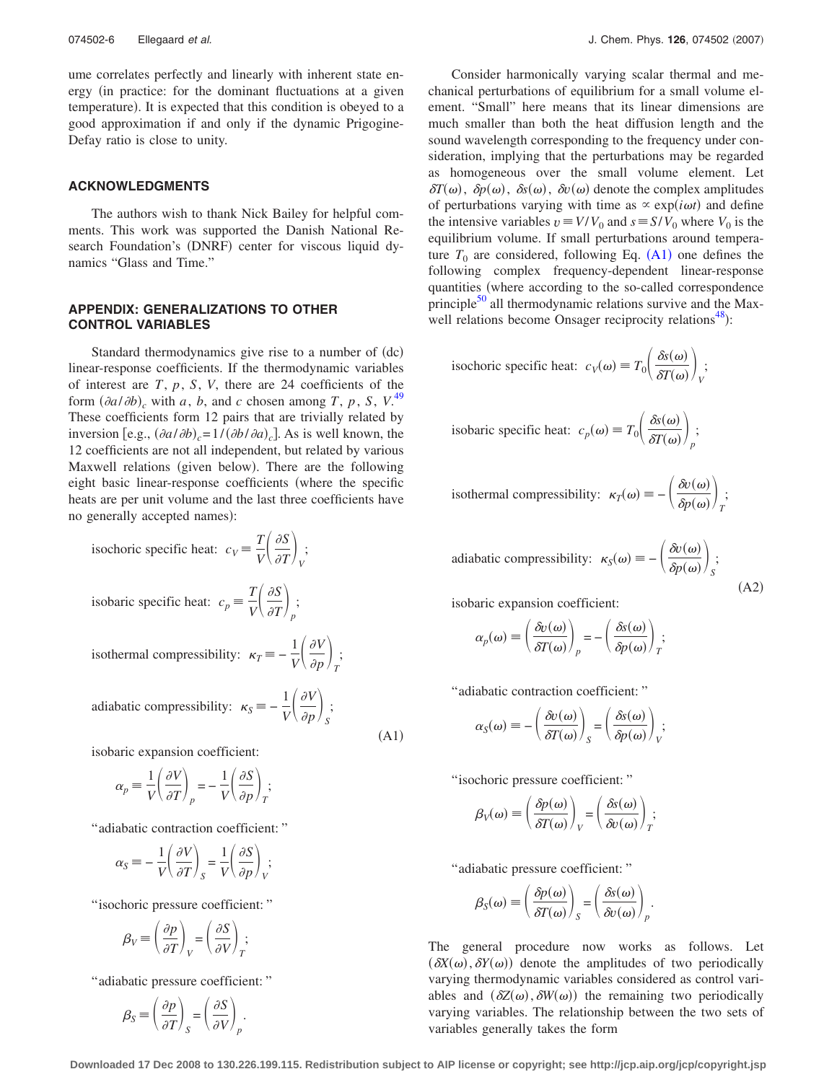ume correlates perfectly and linearly with inherent state energy (in practice: for the dominant fluctuations at a given temperature). It is expected that this condition is obeyed to a good approximation if and only if the dynamic Prigogine-Defay ratio is close to unity.

#### **ACKNOWLEDGMENTS**

The authors wish to thank Nick Bailey for helpful comments. This work was supported the Danish National Research Foundation's (DNRF) center for viscous liquid dynamics "Glass and Time."

## **APPENDIX: GENERALIZATIONS TO OTHER CONTROL VARIABLES**

Standard thermodynamics give rise to a number of (dc) linear-response coefficients. If the thermodynamic variables of interest are *T*, *p*, *S*, *V*, there are 24 coefficients of the form  $\left(\frac{\partial a}{\partial b}\right)_c$  with *a*, *b*, and *c* chosen among *T*, *p*, *S*, *V*.<sup>[49](#page-8-38)</sup> These coefficients form 12 pairs that are trivially related by inversion [e.g.,  $\left(\frac{\partial a}{\partial b}\right)_c = 1/(\frac{\partial b}{\partial a})_c$ ]. As is well known, the 12 coefficients are not all independent, but related by various Maxwell relations (given below). There are the following eight basic linear-response coefficients (where the specific heats are per unit volume and the last three coefficients have no generally accepted names):

;

;

<span id="page-6-0"></span>isochoric specific heat:  $c_V \equiv \frac{T}{V} \left( \frac{\partial S}{\partial T} \right)_V$ 

isobaric specific heat:  $c_p \equiv \frac{T}{V} \left( \frac{\partial S}{\partial T} \right)_p$ 

isothermal compressibility:  $\kappa_T = -\frac{1}{V} \left( \frac{\partial V}{\partial p} \right)_T$ ;

adiabatic compressibility:  $\kappa_S = -\frac{1}{V} \left( \frac{\partial V}{\partial p} \right)_S$ ;

isobaric expansion coefficient:

$$
\alpha_p \equiv \frac{1}{V} \left( \frac{\partial V}{\partial T} \right)_p = -\frac{1}{V} \left( \frac{\partial S}{\partial p} \right)_T;
$$

"adiabatic contraction coefficient: "

$$
\alpha_S \equiv -\,\frac{1}{V}\!\!\left(\frac{\partial V}{\partial T}\right)_S = \frac{1}{V}\!\!\left(\frac{\partial S}{\partial p}\right)_V;
$$

"isochoric pressure coefficient: "

 $\beta_V \equiv \left(\frac{\partial p}{\partial T}\right)_V = \left(\frac{\partial S}{\partial V}\right)_T$ ;

"adiabatic pressure coefficient: "

$$
\beta_S \equiv \left(\frac{\partial p}{\partial T}\right)_S = \left(\frac{\partial S}{\partial V}\right)_p.
$$

Consider harmonically varying scalar thermal and mechanical perturbations of equilibrium for a small volume element. "Small" here means that its linear dimensions are much smaller than both the heat diffusion length and the sound wavelength corresponding to the frequency under consideration, implying that the perturbations may be regarded as homogeneous over the small volume element. Let  $\delta T(\omega)$ ,  $\delta p(\omega)$ ,  $\delta y(\omega)$  denote the complex amplitudes of perturbations varying with time as  $\propto$  exp(*i* $\omega t$ ) and define the intensive variables  $v \equiv V/V_0$  and  $s \equiv S/V_0$  where  $V_0$  is the equilibrium volume. If small perturbations around temperature  $T_0$  are considered, following Eq.  $(A1)$  $(A1)$  $(A1)$  one defines the following complex frequency-dependent linear-response quantities (where according to the so-called correspondence principle $50$  all thermodynamic relations survive and the Maxwell relations become Onsager reciprocity relations<sup>48</sup>):

isochoric specific heat: 
$$
c_V(\omega) \equiv T_0 \left( \frac{\delta s(\omega)}{\delta T(\omega)} \right)_V
$$
;

isobaric specific heat: 
$$
c_p(\omega) \equiv T_0 \left( \frac{\delta s(\omega)}{\delta T(\omega)} \right)_p
$$
;

isothermal compressibility:  $\kappa_T(\omega) \equiv -\left(\frac{\delta v(\omega)}{\delta p(\omega)}\right)_T$ ;

adiabatic compressibility: 
$$
\kappa_S(\omega) \equiv -\left(\frac{\delta v(\omega)}{\delta p(\omega)}\right)_S;
$$

 $(A2)$ 

isobaric expansion coefficient:

$$
\alpha_p(\omega) \equiv \left(\frac{\delta v(\omega)}{\delta T(\omega)}\right)_p = -\left(\frac{\delta s(\omega)}{\delta p(\omega)}\right)_T;
$$

"adiabatic contraction coefficient: "

$$
\alpha_S(\omega) \equiv -\left(\frac{\delta v(\omega)}{\delta T(\omega)}\right)_S = \left(\frac{\delta s(\omega)}{\delta p(\omega)}\right)_V;
$$

"isochoric pressure coefficient: "

$$
\beta_V(\omega) \equiv \left(\frac{\delta p(\omega)}{\delta T(\omega)}\right)_V = \left(\frac{\delta s(\omega)}{\delta v(\omega)}\right)_T;
$$

"adiabatic pressure coefficient: "

$$
\beta_S(\omega) \equiv \left(\frac{\delta p(\omega)}{\delta T(\omega)}\right)_S = \left(\frac{\delta s(\omega)}{\delta v(\omega)}\right)_P.
$$

The general procedure now works as follows. Let  $(\delta X(\omega), \delta Y(\omega))$  denote the amplitudes of two periodically varying thermodynamic variables considered as control variables and  $(\delta Z(\omega), \delta W(\omega))$  the remaining two periodically varying variables. The relationship between the two sets of variables generally takes the form

**Downloaded 17 Dec 2008 to 130.226.199.115. Redistribution subject to AIP license or copyright; see http://jcp.aip.org/jcp/copyright.jsp**

 $(A1)$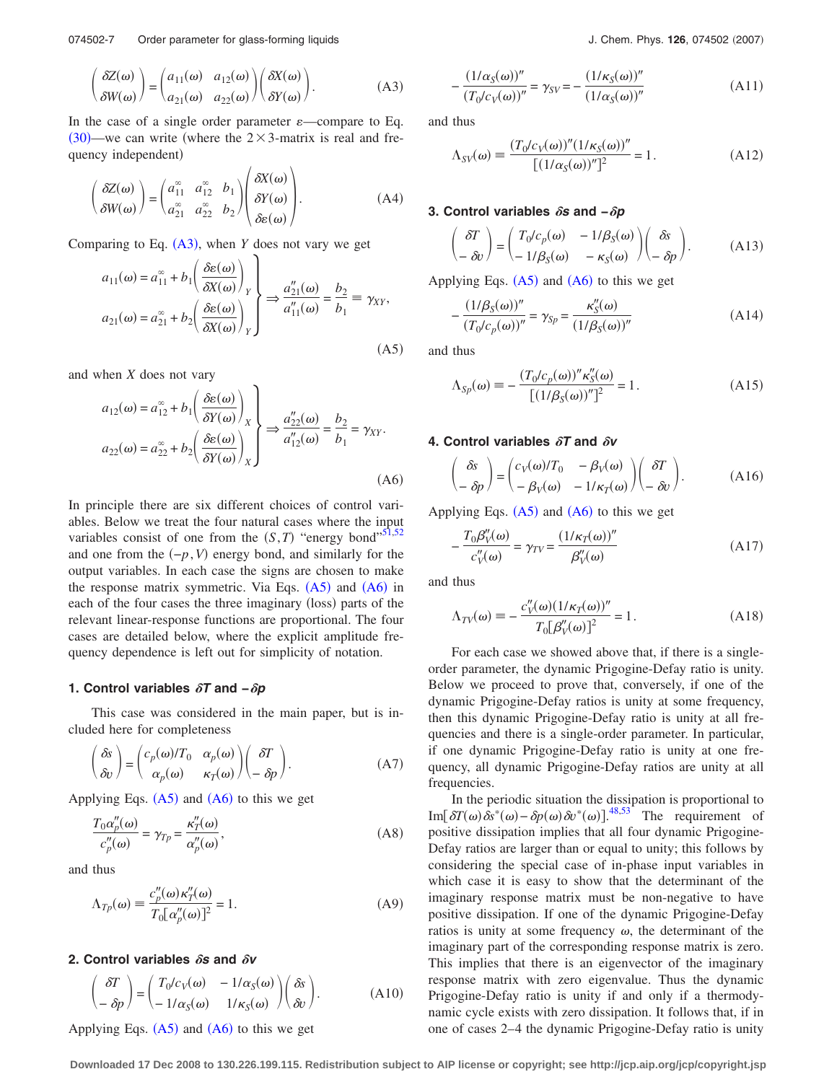<span id="page-7-0"></span>074502-7 Order parameter for glass-forming liquids

$$
\begin{pmatrix}\n\delta Z(\omega) \\
\delta W(\omega)\n\end{pmatrix} = \begin{pmatrix}\na_{11}(\omega) & a_{12}(\omega) \\
a_{21}(\omega) & a_{22}(\omega)\n\end{pmatrix} \begin{pmatrix}\n\delta X(\omega) \\
\delta Y(\omega)\n\end{pmatrix} .
$$
\n(A3)

In the case of a single order parameter  $\varepsilon$ —compare to Eq. ([30](#page-5-2))—we can write (where the  $2 \times 3$ -matrix is real and frequency independent)

$$
\begin{pmatrix}\n\delta Z(\omega) \\
\delta W(\omega)\n\end{pmatrix} = \begin{pmatrix}\na_{11}^{\infty} & a_{12}^{\infty} & b_1 \\
a_{21}^{\infty} & a_{22}^{\infty} & b_2\n\end{pmatrix} \begin{pmatrix}\n\delta X(\omega) \\
\delta Y(\omega) \\
\delta \epsilon(\omega)\n\end{pmatrix} .
$$
\n(A4)

<span id="page-7-1"></span>Comparing to Eq.  $(A3)$  $(A3)$  $(A3)$ , when *Y* does not vary we get

$$
a_{11}(\omega) = a_{11}^{\infty} + b_1 \left( \frac{\delta \varepsilon(\omega)}{\delta X(\omega)} \right)_Y
$$
  
\n
$$
a_{21}(\omega) = a_{21}^{\infty} + b_2 \left( \frac{\delta \varepsilon(\omega)}{\delta X(\omega)} \right)_Y
$$
  
\n
$$
\Rightarrow \frac{a_{21}''(\omega)}{a_{11}''(\omega)} = \frac{b_2}{b_1} \equiv \gamma_{XY},
$$
  
\n(A5)

<span id="page-7-2"></span>and when *X* does not vary

$$
a_{12}(\omega) = a_{12}^{\infty} + b_1 \left( \frac{\partial \varepsilon(\omega)}{\partial Y(\omega)} \right)_X
$$
  
\n
$$
a_{22}(\omega) = a_{22}^{\infty} + b_2 \left( \frac{\partial \varepsilon(\omega)}{\partial Y(\omega)} \right)_X
$$
  
\n
$$
\Rightarrow \frac{a_{22}''(\omega)}{a_{12}''(\omega)} = \frac{b_2}{b_1} = \gamma_{XY}.
$$
  
\n(A6)

In principle there are six different choices of control variables. Below we treat the four natural cases where the input variables consist of one from the  $(S,T)$  "energy bond"<sup>51,[52](#page-8-41)</sup> and one from the  $(-p, V)$  energy bond, and similarly for the output variables. In each case the signs are chosen to make the response matrix symmetric. Via Eqs.  $(A5)$  $(A5)$  $(A5)$  and  $(A6)$  $(A6)$  $(A6)$  in each of the four cases the three imaginary (loss) parts of the relevant linear-response functions are proportional. The four cases are detailed below, where the explicit amplitude frequency dependence is left out for simplicity of notation.

#### **1. Control variables**  $\delta$ **T and −** $\delta$ **p**

This case was considered in the main paper, but is included here for completeness

$$
\begin{pmatrix} \delta s \\ \delta v \end{pmatrix} = \begin{pmatrix} c_p(\omega)/T_0 & \alpha_p(\omega) \\ \alpha_p(\omega) & \kappa_T(\omega) \end{pmatrix} \begin{pmatrix} \delta T \\ -\delta p \end{pmatrix}.
$$
 (A7)

Applying Eqs.  $(A5)$  $(A5)$  $(A5)$  and  $(A6)$  $(A6)$  $(A6)$  to this we get

$$
\frac{T_0 \alpha_p''(\omega)}{c_p''(\omega)} = \gamma_{Tp} = \frac{\kappa_T''(\omega)}{\alpha_p''(\omega)},
$$
\n(A8)

and thus

$$
\Lambda_{Tp}(\omega) \equiv \frac{c_p''(\omega)\kappa_T'(\omega)}{T_0[\alpha_p''(\omega)]^2} = 1.
$$
\n(A9)

#### **2. Control variables**  $\delta$ **s** and  $\delta$ **v**

$$
\begin{pmatrix} \delta T \\ -\delta p \end{pmatrix} = \begin{pmatrix} T_0/c_V(\omega) & -1/\alpha_S(\omega) \\ -1/\alpha_S(\omega) & 1/\kappa_S(\omega) \end{pmatrix} \begin{pmatrix} \delta s \\ \delta v \end{pmatrix}.
$$
 (A10)

Applying Eqs.  $(A5)$  $(A5)$  $(A5)$  and  $(A6)$  $(A6)$  $(A6)$  to this we get

$$
-\frac{(1/\alpha_S(\omega))^{\prime\prime}}{(T_0/c_V(\omega))^{\prime\prime}} = \gamma_{SV} = -\frac{(1/\kappa_S(\omega))^{\prime\prime}}{(1/\alpha_S(\omega))^{\prime\prime}}\tag{A11}
$$

and thus

$$
\Lambda_{SV}(\omega) \equiv \frac{(T_0/c_V(\omega))'' (1/\kappa_S(\omega))''}{[(1/\alpha_S(\omega))^{"}]^2} = 1.
$$
\n(A12)

#### **3. Control variables**  $\delta$ **s** and − $\delta$ *p*

$$
\begin{pmatrix} \delta T \\ -\delta v \end{pmatrix} = \begin{pmatrix} T_0/c_p(\omega) & -1/\beta_S(\omega) \\ -1/\beta_S(\omega) & -\kappa_S(\omega) \end{pmatrix} \begin{pmatrix} \delta s \\ -\delta p \end{pmatrix}.
$$
 (A13)

Applying Eqs.  $(A5)$  $(A5)$  $(A5)$  and  $(A6)$  $(A6)$  $(A6)$  to this we get

$$
-\frac{(1/\beta_S(\omega))^{\prime\prime}}{(T_0/c_p(\omega))^{\prime\prime}} = \gamma_{Sp} = \frac{\kappa_S^{\prime\prime}(\omega)}{(1/\beta_S(\omega))^{\prime\prime}}
$$
(A14)

and thus

$$
\Lambda_{Sp}(\omega) \equiv -\frac{(T_0/c_p(\omega))^n \kappa_S^{\nu}(\omega)}{[(1/\beta_S(\omega))^n]^2} = 1.
$$
\n(A15)

#### **4. Control variables**  $\delta T$  **and**  $\delta v$

$$
\begin{pmatrix}\n\delta s \\
-\delta p\n\end{pmatrix} = \begin{pmatrix}\nc_V(\omega)/T_0 & -\beta_V(\omega) \\
-\beta_V(\omega) & -1/\kappa_T(\omega)\n\end{pmatrix} \begin{pmatrix}\n\delta T \\
-\delta v\n\end{pmatrix}.
$$
\n(A16)

Applying Eqs.  $(A5)$  $(A5)$  $(A5)$  and  $(A6)$  $(A6)$  $(A6)$  to this we get

$$
-\frac{T_0 \beta_V''(\omega)}{c_V''(\omega)} = \gamma_{TV} = \frac{(1/\kappa_T(\omega))''}{\beta_V''(\omega)}\tag{A17}
$$

and thus

$$
\Lambda_{TV}(\omega) = -\frac{c_V''(\omega)(1/\kappa_T(\omega))''}{T_0[\beta_V''(\omega)]^2} = 1.
$$
\n(A18)

For each case we showed above that, if there is a singleorder parameter, the dynamic Prigogine-Defay ratio is unity. Below we proceed to prove that, conversely, if one of the dynamic Prigogine-Defay ratios is unity at some frequency, then this dynamic Prigogine-Defay ratio is unity at all frequencies and there is a single-order parameter. In particular, if one dynamic Prigogine-Defay ratio is unity at one frequency, all dynamic Prigogine-Defay ratios are unity at all frequencies.

In the periodic situation the dissipation is proportional to Im[ $\delta T(\omega) \delta s^*(\omega) - \delta p(\omega) \delta v^*(\omega)$ ].<sup>[48,](#page-8-37)[53](#page-8-42)</sup> The requirement of positive dissipation implies that all four dynamic Prigogine-Defay ratios are larger than or equal to unity; this follows by considering the special case of in-phase input variables in which case it is easy to show that the determinant of the imaginary response matrix must be non-negative to have positive dissipation. If one of the dynamic Prigogine-Defay ratios is unity at some frequency  $\omega$ , the determinant of the imaginary part of the corresponding response matrix is zero. This implies that there is an eigenvector of the imaginary response matrix with zero eigenvalue. Thus the dynamic Prigogine-Defay ratio is unity if and only if a thermodynamic cycle exists with zero dissipation. It follows that, if in one of cases 2–4 the dynamic Prigogine-Defay ratio is unity

**Downloaded 17 Dec 2008 to 130.226.199.115. Redistribution subject to AIP license or copyright; see http://jcp.aip.org/jcp/copyright.jsp**